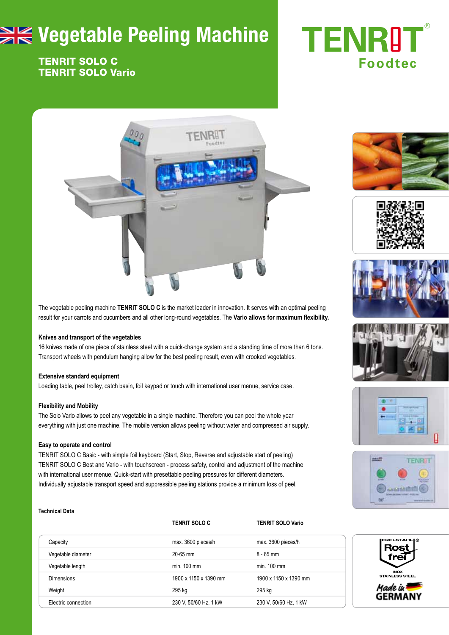# **WE Vegetable Peeling Machine**

### TENRIT SOLO C TENRIT SOLO Vario

# **TENRIT** ® **Foodtec**



The vegetable peeling machine **TENRIT SOLO C** is the market leader in innovation. It serves with an optimal peeling result for your carrots and cucumbers and all other long-round vegetables. The **Vario allows for maximum flexibility.**

#### **Knives and transport of the vegetables**

16 knives made of one piece of stainless steel with a quick-change system and a standing time of more than 6 tons. Transport wheels with pendulum hanging allow for the best peeling result, even with crooked vegetables.

#### **Extensive standard equipment**

Loading table, peel trolley, catch basin, foil keypad or touch with international user menue, service case.

#### **Flexibility and Mobility**

The Solo Vario allows to peel any vegetable in a single machine. Therefore you can peel the whole year everything with just one machine. The mobile version allows peeling without water and compressed air supply.

#### **Easy to operate and control**

TENRIT SOLO C Basic - with simple foil keyboard (Start, Stop, Reverse and adjustable start of peeling) TENRIT SOLO C Best and Vario - with touchscreen - process safety, control and adjustment of the machine with international user menue. Quick-start with presettable peeling pressures for different diameters. Individually adjustable transport speed and suppressible peeling stations provide a minimum loss of peel.

#### **Technical Data**

|                     | <b>TENRIT SOLO C</b>  | <b>TENRIT SOLO Vario</b> |
|---------------------|-----------------------|--------------------------|
| Capacity            | max. 3600 pieces/h    | max. 3600 pieces/h       |
| Vegetable diameter  | 20-65 mm              | $8 - 65$ mm              |
| Vegetable length    | $min$ 100 $mm$        | min. 100 mm              |
| <b>Dimensions</b>   | 1900 x 1150 x 1390 mm | 1900 x 1150 x 1390 mm    |
| Weight              | 295 kg                | 295 kg                   |
| Electric connection | 230 V, 50/60 Hz, 1 kW | 230 V, 50/60 Hz, 1 kW    |